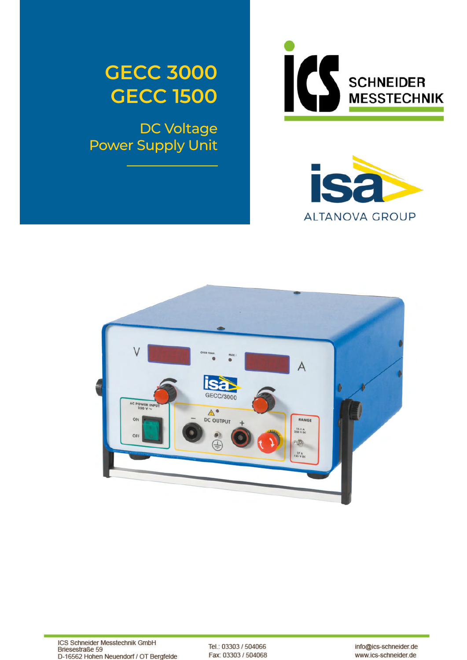

DC Voltage Power Supply Unit







Tel.: 03303 / 504066 Fax: 03303 / 504068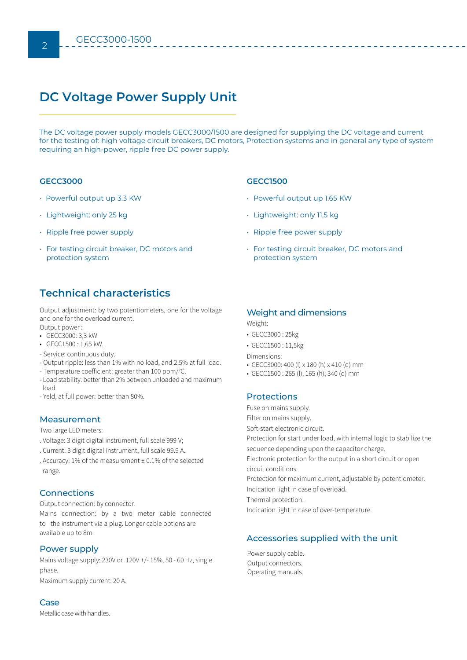# **DC Voltage Power Supply Unit**

The DC voltage power supply models GECC3000/1500 are designed for supplying the DC voltage and current for the testing of: high voltage circuit breakers, DC motors, Protection systems and in general any type of system requiring an high-power, ripple free DC power supply.

#### **GECC3000**

- Powerful output up 3.3 KW
- Lightweight: only 25 kg
- Ripple free power supply
- For testing circuit breaker, DC motors and protection system

## **Technical characteristics**

Output adjustment: by two potentiometers, one for the voltage and one for the overload current.

Output power :

- GECC3000: 3,3 kW
- GECC1500 : 1,65 kW.
- Service: continuous duty.
- Output ripple: less than 1% with no load, and 2.5% at full load.
- Temperature coefficient: greater than 100 ppm/°C.
- Load stability: better than 2% between unloaded and maximum load.
- Yeld, at full power: better than 80%.

#### Measurement

Two large LED meters:

- . Voltage: 3 digit digital instrument, full scale 999 V;
- . Current: 3 digit digital instrument, full scale 99.9 A.
- . Accuracy: 1% of the measurement ± 0.1% of the selected range.

### **Connections**

Output connection: by connector.

Mains connection: by a two meter cable connected to the instrument via a plug. Longer cable options are available up to 8m.

#### Power supply

Mains voltage supply: 230V or 120V +/- 15%, 50 - 60 Hz, single phase. Maximum supply current: 20 A.

#### Case

Metallic case with handles.

### **GECC1500**

- Powerful output up 1.65 KW
- Lightweight: only 11,5 kg
- Ripple free power supply
- For testing circuit breaker, DC motors and protection system

#### Weight and dimensions

Weight:

- GECC3000 : 25kg
- GECC1500 : 11,5kg
- Dimensions:
- GECC3000: 400 (l) x 180 (h) x 410 (d) mm
- GECC1500 : 265 (l); 165 (h); 340 (d) mm

## Protections

Fuse on mains supply.

Filter on mains supply.

Soft-start electronic circuit.

Protection for start under load, with internal logic to stabilize the sequence depending upon the capacitor charge.

Electronic protection for the output in a short circuit or open circuit conditions.

Protection for maximum current, adjustable by potentiometer.

Indication light in case of overload.

Thermal protection.

Indication light in case of over-temperature.

## Accessories supplied with the unit

Power supply cable. Output connectors. Operating manuals.